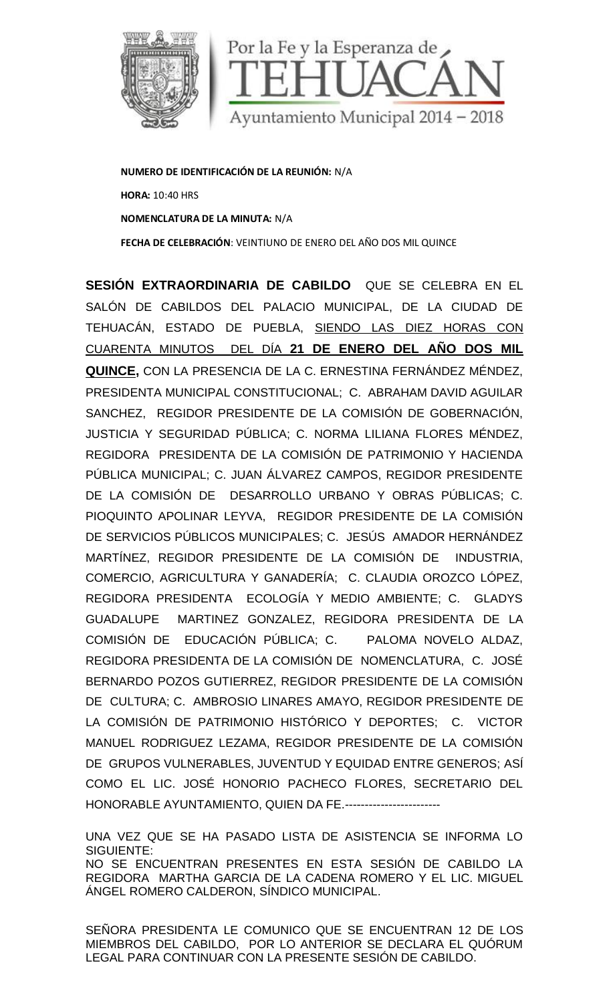

**NUMERO DE IDENTIFICACIÓN DE LA REUNIÓN:** N/A **HORA:** 10:40 HRS **NOMENCLATURA DE LA MINUTA:** N/A **FECHA DE CELEBRACIÓN**: VEINTIUNO DE ENERO DELAÑO DOS MIL QUINCE

**SESIÓN EXTRAORDINARIA DE CABILDO** QUE SE CELEBRA EN EL SALÓN DE CABILDOS DEL PALACIO MUNICIPAL, DE LA CIUDAD DE TEHUACÁN, ESTADO DE PUEBLA, SIENDO LAS DIEZ HORAS CON CUARENTA MINUTOS DEL DÍA **21 DE ENERO DEL AÑO DOS MIL QUINCE,** CON LA PRESENCIA DE LA C. ERNESTINA FERNÁNDEZ MÉNDEZ, PRESIDENTA MUNICIPAL CONSTITUCIONAL; C. ABRAHAM DAVID AGUILAR SANCHEZ, REGIDOR PRESIDENTE DE LA COMISIÓN DE GOBERNACIÓN, JUSTICIA Y SEGURIDAD PÚBLICA; C. NORMA LILIANA FLORES MÉNDEZ, REGIDORA PRESIDENTA DE LA COMISIÓN DE PATRIMONIO Y HACIENDA PÚBLICA MUNICIPAL; C. JUAN ÁLVAREZ CAMPOS, REGIDOR PRESIDENTE DE LA COMISIÓN DE DESARROLLO URBANO Y OBRAS PÚBLICAS; C. PIOQUINTO APOLINAR LEYVA, REGIDOR PRESIDENTE DE LA COMISIÓN DE SERVICIOS PÚBLICOS MUNICIPALES; C. JESÚS AMADOR HERNÁNDEZ MARTÍNEZ, REGIDOR PRESIDENTE DE LA COMISIÓN DE INDUSTRIA, COMERCIO, AGRICULTURA Y GANADERÍA; C. CLAUDIA OROZCO LÓPEZ, REGIDORA PRESIDENTA ECOLOGÍA Y MEDIO AMBIENTE; C. GLADYS GUADALUPE MARTINEZ GONZALEZ, REGIDORA PRESIDENTA DE LA COMISIÓN DE EDUCACIÓN PÚBLICA; C. PALOMA NOVELO ALDAZ, REGIDORA PRESIDENTA DE LA COMISIÓN DE NOMENCLATURA, C. JOSÉ BERNARDO POZOS GUTIERREZ, REGIDOR PRESIDENTE DE LA COMISIÓN DE CULTURA; C. AMBROSIO LINARES AMAYO, REGIDOR PRESIDENTE DE LA COMISIÓN DE PATRIMONIO HISTÓRICO Y DEPORTES; C. VICTOR MANUEL RODRIGUEZ LEZAMA, REGIDOR PRESIDENTE DE LA COMISIÓN DE GRUPOS VULNERABLES, JUVENTUD Y EQUIDAD ENTRE GENEROS; ASÍ COMO EL LIC. JOSÉ HONORIO PACHECO FLORES, SECRETARIO DEL HONORABLE AYUNTAMIENTO, QUIEN DA FE.------------------------ NUMERO EDETRICADO E LA ENDIRENCEA DE LA CONSIDERA EN EN EN ANGESTERIO DE EN EN ANGESTERIO DE LA CONSIDERA EN EN ANGESTERIO DE LA CONSIDERATIVA DE CABILDO DE PUEDEN (NUNCEL CONSIDERE DE LA CONSIDERE DE LA CONSIDE DE LA CONS

UNA VEZ QUE SE HA PASADO LISTA DE ASISTENCIA SE INFORMA LO SIGUIENTE: NO SE ENCUENTRAN PRESENTES EN ESTA SESIÓN DE CABILDO LA REGIDORA MARTHA GARCIA DE LA CADENA ROMERO Y EL LIC. MIGUEL ÁNGEL ROMERO CALDERON, SÍNDICO MUNICIPAL.

SEÑORA PRESIDENTA LE COMUNICO QUE SE ENCUENTRAN 12 DE LOS MIEMBROS DEL CABILDO, POR LO ANTERIOR SE DECLARA EL QUÓRUM LEGAL PARA CONTINUAR CON LA PRESENTE SESIÓN DE CABILDO.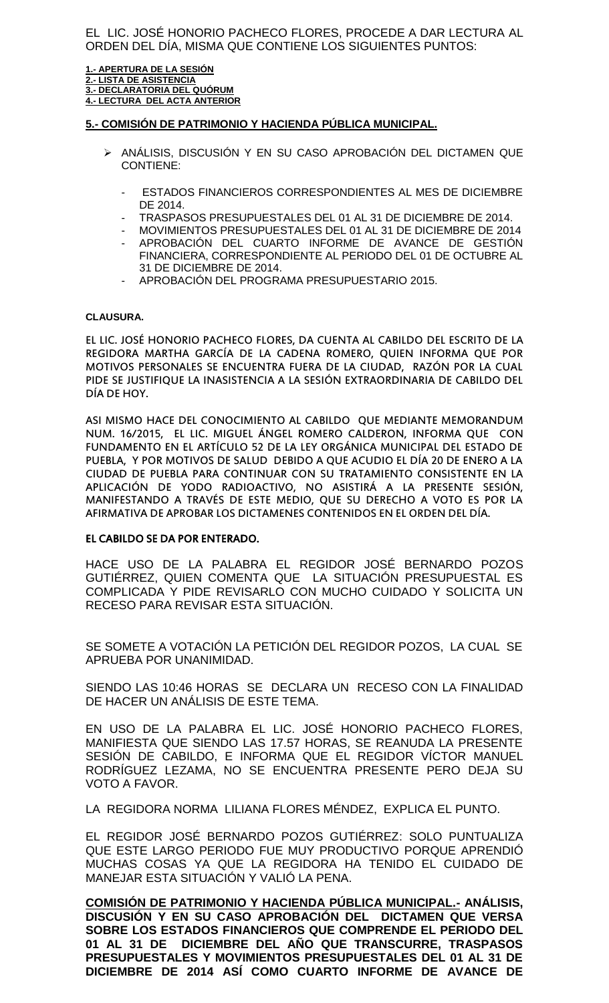EL LIC. JOSÉ HONORIO PACHECO FLORES, PROCEDE A DAR LECTURA AL ORDEN DEL DÍA, MISMA QUE CONTIENE LOS SIGUIENTES PUNTOS:

**1.- APERTURA DE LA SESIÓN 2.- LISTA DE ASISTENCIA 3.- DECLARATORIA DEL QUÓRUM 4.- LECTURA DEL ACTA ANTERIOR**

#### **5.- COMISIÓN DE PATRIMONIO Y HACIENDA PÚBLICA MUNICIPAL.**

- ANÁLISIS, DISCUSIÓN Y EN SU CASO APROBACIÓN DEL DICTAMEN QUE CONTIENE:
	- ESTADOS FINANCIEROS CORRESPONDIENTES AL MES DE DICIEMBRE DE 2014.
	- TRASPASOS PRESUPUESTALES DEL 01 AL 31 DE DICIEMBRE DE 2014.
	- MOVIMIENTOS PRESUPUESTALES DEL 01 AL 31 DE DICIEMBRE DE 2014
	- APROBACIÓN DEL CUARTO INFORME DE AVANCE DE GESTIÓN FINANCIERA, CORRESPONDIENTE AL PERIODO DEL 01 DE OCTUBRE AL 31 DE DICIEMBRE DE 2014.
	- APROBACIÓN DEL PROGRAMA PRESUPUESTARIO 2015.

#### **CLAUSURA.**

EL LIC. JOSÉ HONORIO PACHECO FLORES, DA CUENTA AL CABILDO DEL ESCRITO DE LA REGIDORA MARTHA GARCÍA DE LA CADENA ROMERO, QUIEN INFORMA QUE POR MOTIVOS PERSONALES SE ENCUENTRA FUERA DE LA CIUDAD, RAZÓN POR LA CUAL PIDE SE JUSTIFIQUE LA INASISTENCIA A LA SESIÓN EXTRAORDINARIA DE CABILDO DEL DÍA DE HOY.

ASI MISMO HACE DEL CONOCIMIENTO AL CABILDO QUE MEDIANTE MEMORANDUM NUM. 16/2015, EL LIC. MIGUEL ÁNGEL ROMERO CALDERON, INFORMA QUE CON FUNDAMENTO EN EL ARTÍCULO 52 DE LA LEY ORGÁNICA MUNICIPAL DEL ESTADO DE PUEBLA, Y POR MOTIVOS DE SALUD DEBIDO A QUE ACUDIO EL DÍA 20 DE ENERO A LA CIUDAD DE PUEBLA PARA CONTINUAR CON SU TRATAMIENTO CONSISTENTE EN LA APLICACIÓN DE YODO RADIOACTIVO, NO ASISTIRÁ A LA PRESENTE SESIÓN, MANIFESTANDO A TRAVÉS DE ESTE MEDIO, QUE SU DERECHO A VOTO ES POR LA AFIRMATIVA DE APROBAR LOS DICTAMENES CONTENIDOS EN EL ORDEN DEL DÍA.

#### **EL CABILDO SE DA POR ENTERADO.**

HACE USO DE LA PALABRA EL REGIDOR JOSÉ BERNARDO POZOS GUTIÉRREZ, QUIEN COMENTA QUE LA SITUACIÓN PRESUPUESTAL ES COMPLICADA Y PIDE REVISARLO CON MUCHO CUIDADO Y SOLICITA UN RECESO PARA REVISAR ESTA SITUACIÓN.

SE SOMETE A VOTACIÓN LA PETICIÓN DEL REGIDOR POZOS, LA CUAL SE APRUEBA POR UNANIMIDAD.

SIENDO LAS 10:46 HORAS SE DECLARA UN RECESO CON LA FINALIDAD DE HACER UN ANÁLISIS DE ESTE TEMA.

EN USO DE LA PALABRA EL LIC. JOSÉ HONORIO PACHECO FLORES, MANIFIESTA QUE SIENDO LAS 17.57 HORAS, SE REANUDA LA PRESENTE SESIÓN DE CABILDO, E INFORMA QUE EL REGIDOR VÍCTOR MANUEL RODRÍGUEZ LEZAMA, NO SE ENCUENTRA PRESENTE PERO DEJA SU VOTO A FAVOR.

LA REGIDORA NORMA LILIANA FLORES MÉNDEZ, EXPLICA EL PUNTO.

EL REGIDOR JOSÉ BERNARDO POZOS GUTIÉRREZ: SOLO PUNTUALIZA QUE ESTE LARGO PERIODO FUE MUY PRODUCTIVO PORQUE APRENDIÓ MUCHAS COSAS YA QUE LA REGIDORA HA TENIDO EL CUIDADO DE MANEJAR ESTA SITUACIÓN Y VALIÓ LA PENA.

**COMISIÓN DE PATRIMONIO Y HACIENDA PÚBLICA MUNICIPAL.- ANÁLISIS, DISCUSIÓN Y EN SU CASO APROBACIÓN DEL DICTAMEN QUE VERSA SOBRE LOS ESTADOS FINANCIEROS QUE COMPRENDE EL PERIODO DEL 01 AL 31 DE DICIEMBRE DEL AÑO QUE TRANSCURRE, TRASPASOS PRESUPUESTALES Y MOVIMIENTOS PRESUPUESTALES DEL 01 AL 31 DE DICIEMBRE DE 2014 ASÍ COMO CUARTO INFORME DE AVANCE DE**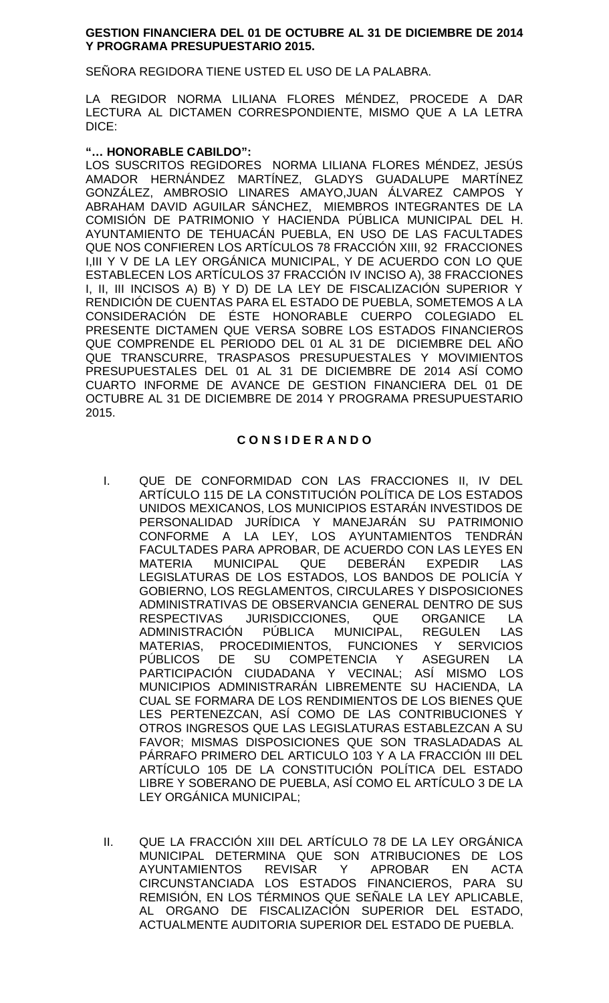### **GESTION FINANCIERA DEL 01 DE OCTUBRE AL 31 DE DICIEMBRE DE 2014 Y PROGRAMA PRESUPUESTARIO 2015.**

SEÑORA REGIDORA TIENE USTED EL USO DE LA PALABRA.

LA REGIDOR NORMA LILIANA FLORES MÉNDEZ, PROCEDE A DAR LECTURA AL DICTAMEN CORRESPONDIENTE, MISMO QUE A LA LETRA DICE:

## **"… HONORABLE CABILDO":**

LOS SUSCRITOS REGIDORES NORMA LILIANA FLORES MÉNDEZ, JESÚS AMADOR HERNÁNDEZ MARTÍNEZ, GLADYS GUADALUPE MARTÍNEZ GONZÁLEZ, AMBROSIO LINARES AMAYO,JUAN ÁLVAREZ CAMPOS Y ABRAHAM DAVID AGUILAR SÁNCHEZ, MIEMBROS INTEGRANTES DE LA COMISIÓN DE PATRIMONIO Y HACIENDA PÚBLICA MUNICIPAL DEL H. AYUNTAMIENTO DE TEHUACÁN PUEBLA, EN USO DE LAS FACULTADES QUE NOS CONFIEREN LOS ARTÍCULOS 78 FRACCIÓN XIII, 92 FRACCIONES I,III Y V DE LA LEY ORGÁNICA MUNICIPAL, Y DE ACUERDO CON LO QUE ESTABLECEN LOS ARTÍCULOS 37 FRACCIÓN IV INCISO A), 38 FRACCIONES I, II, III INCISOS A) B) Y D) DE LA LEY DE FISCALIZACIÓN SUPERIOR Y RENDICIÓN DE CUENTAS PARA EL ESTADO DE PUEBLA, SOMETEMOS A LA CONSIDERACIÓN DE ÉSTE HONORABLE CUERPO COLEGIADO EL PRESENTE DICTAMEN QUE VERSA SOBRE LOS ESTADOS FINANCIEROS QUE COMPRENDE EL PERIODO DEL 01 AL 31 DE DICIEMBRE DEL AÑO QUE TRANSCURRE, TRASPASOS PRESUPUESTALES Y MOVIMIENTOS PRESUPUESTALES DEL 01 AL 31 DE DICIEMBRE DE 2014 ASÍ COMO CUARTO INFORME DE AVANCE DE GESTION FINANCIERA DEL 01 DE OCTUBRE AL 31 DE DICIEMBRE DE 2014 Y PROGRAMA PRESUPUESTARIO 2015.

## **C O N S I D E R A N D O**

- I. QUE DE CONFORMIDAD CON LAS FRACCIONES II, IV DEL ARTÍCULO 115 DE LA CONSTITUCIÓN POLÍTICA DE LOS ESTADOS UNIDOS MEXICANOS, LOS MUNICIPIOS ESTARÁN INVESTIDOS DE PERSONALIDAD JURÍDICA Y MANEJARÁN SU PATRIMONIO CONFORME A LA LEY, LOS AYUNTAMIENTOS TENDRÁN FACULTADES PARA APROBAR, DE ACUERDO CON LAS LEYES EN<br>MATERIA MUNICIPAL QUE DEBERÁN EXPEDIR LAS MATERIA MUNICIPAL QUE DEBERÁN EXPEDIR LAS LEGISLATURAS DE LOS ESTADOS, LOS BANDOS DE POLICÍA Y GOBIERNO, LOS REGLAMENTOS, CIRCULARES Y DISPOSICIONES ADMINISTRATIVAS DE OBSERVANCIA GENERAL DENTRO DE SUS RESPECTIVAS JURISDICCIONES, QUE ORGANICE LA ADMINISTRACIÓN PÚBLICA MUNICIPAL, REGULEN LAS MATERIAS, PROCEDIMIENTOS, FUNCIONES Y SERVICIOS<br>PÚBLICOS DE SU COMPETENCIA Y ASEGUREN LA PÚBLICOS DE SU COMPETENCIA Y ASEGUREN LA PARTICIPACIÓN CIUDADANA Y VECINAL; ASÍ MISMO LOS MUNICIPIOS ADMINISTRARÁN LIBREMENTE SU HACIENDA, LA CUAL SE FORMARA DE LOS RENDIMIENTOS DE LOS BIENES QUE LES PERTENEZCAN, ASÍ COMO DE LAS CONTRIBUCIONES Y OTROS INGRESOS QUE LAS LEGISLATURAS ESTABLEZCAN A SU FAVOR; MISMAS DISPOSICIONES QUE SON TRASLADADAS AL PÁRRAFO PRIMERO DEL ARTICULO 103 Y A LA FRACCIÓN III DEL ARTÍCULO 105 DE LA CONSTITUCIÓN POLÍTICA DEL ESTADO LIBRE Y SOBERANO DE PUEBLA, ASÍ COMO EL ARTÍCULO 3 DE LA LEY ORGÁNICA MUNICIPAL;
- II. QUE LA FRACCIÓN XIII DEL ARTÍCULO 78 DE LA LEY ORGÁNICA MUNICIPAL DETERMINA QUE SON ATRIBUCIONES DE LOS AYUNTAMIENTOS REVISAR Y APROBAR EN ACTA CIRCUNSTANCIADA LOS ESTADOS FINANCIEROS, PARA SU REMISIÓN, EN LOS TÉRMINOS QUE SEÑALE LA LEY APLICABLE, AL ORGANO DE FISCALIZACIÓN SUPERIOR DEL ESTADO, ACTUALMENTE AUDITORIA SUPERIOR DEL ESTADO DE PUEBLA.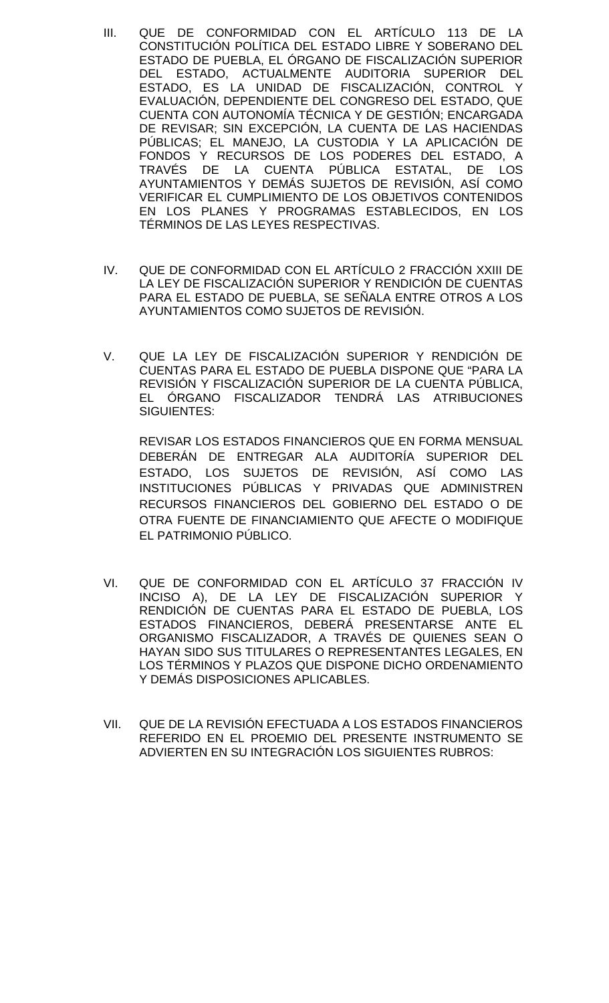- III. QUE DE CONFORMIDAD CON EL ARTÍCULO 113 DE LA CONSTITUCIÓN POLÍTICA DEL ESTADO LIBRE Y SOBERANO DEL ESTADO DE PUEBLA, EL ÓRGANO DE FISCALIZACIÓN SUPERIOR DEL ESTADO, ACTUALMENTE AUDITORIA SUPERIOR DEL ESTADO, ES LA UNIDAD DE FISCALIZACIÓN, CONTROL Y EVALUACIÓN, DEPENDIENTE DEL CONGRESO DEL ESTADO, QUE CUENTA CON AUTONOMÍA TÉCNICA Y DE GESTIÓN; ENCARGADA DE REVISAR; SIN EXCEPCIÓN, LA CUENTA DE LAS HACIENDAS PÚBLICAS; EL MANEJO, LA CUSTODIA Y LA APLICACIÓN DE FONDOS Y RECURSOS DE LOS PODERES DEL ESTADO, A TRAVÉS DE LA CUENTA PÚBLICA ESTATAL, DE LOS AYUNTAMIENTOS Y DEMÁS SUJETOS DE REVISIÓN, ASÍ COMO VERIFICAR EL CUMPLIMIENTO DE LOS OBJETIVOS CONTENIDOS EN LOS PLANES Y PROGRAMAS ESTABLECIDOS, EN LOS TÉRMINOS DE LAS LEYES RESPECTIVAS.
- IV. QUE DE CONFORMIDAD CON EL ARTÍCULO 2 FRACCIÓN XXIII DE LA LEY DE FISCALIZACIÓN SUPERIOR Y RENDICIÓN DE CUENTAS PARA EL ESTADO DE PUEBLA, SE SEÑALA ENTRE OTROS A LOS AYUNTAMIENTOS COMO SUJETOS DE REVISIÓN.
- V. QUE LA LEY DE FISCALIZACIÓN SUPERIOR Y RENDICIÓN DE CUENTAS PARA EL ESTADO DE PUEBLA DISPONE QUE "PARA LA REVISIÓN Y FISCALIZACIÓN SUPERIOR DE LA CUENTA PÚBLICA, EL ÓRGANO FISCALIZADOR TENDRÁ LAS ATRIBUCIONES SIGUIENTES:

REVISAR LOS ESTADOS FINANCIEROS QUE EN FORMA MENSUAL DEBERÁN DE ENTREGAR ALA AUDITORÍA SUPERIOR DEL ESTADO, LOS SUJETOS DE REVISIÓN, ASÍ COMO LAS INSTITUCIONES PÚBLICAS Y PRIVADAS QUE ADMINISTREN RECURSOS FINANCIEROS DEL GOBIERNO DEL ESTADO O DE OTRA FUENTE DE FINANCIAMIENTO QUE AFECTE O MODIFIQUE EL PATRIMONIO PÚBLICO.

- VI. QUE DE CONFORMIDAD CON EL ARTÍCULO 37 FRACCIÓN IV INCISO A), DE LA LEY DE FISCALIZACIÓN SUPERIOR Y RENDICIÓN DE CUENTAS PARA EL ESTADO DE PUEBLA, LOS ESTADOS FINANCIEROS, DEBERÁ PRESENTARSE ANTE EL ORGANISMO FISCALIZADOR, A TRAVÉS DE QUIENES SEAN O HAYAN SIDO SUS TITULARES O REPRESENTANTES LEGALES, EN LOS TÉRMINOS Y PLAZOS QUE DISPONE DICHO ORDENAMIENTO Y DEMÁS DISPOSICIONES APLICABLES.
- VII. QUE DE LA REVISIÓN EFECTUADA A LOS ESTADOS FINANCIEROS REFERIDO EN EL PROEMIO DEL PRESENTE INSTRUMENTO SE ADVIERTEN EN SU INTEGRACIÓN LOS SIGUIENTES RUBROS: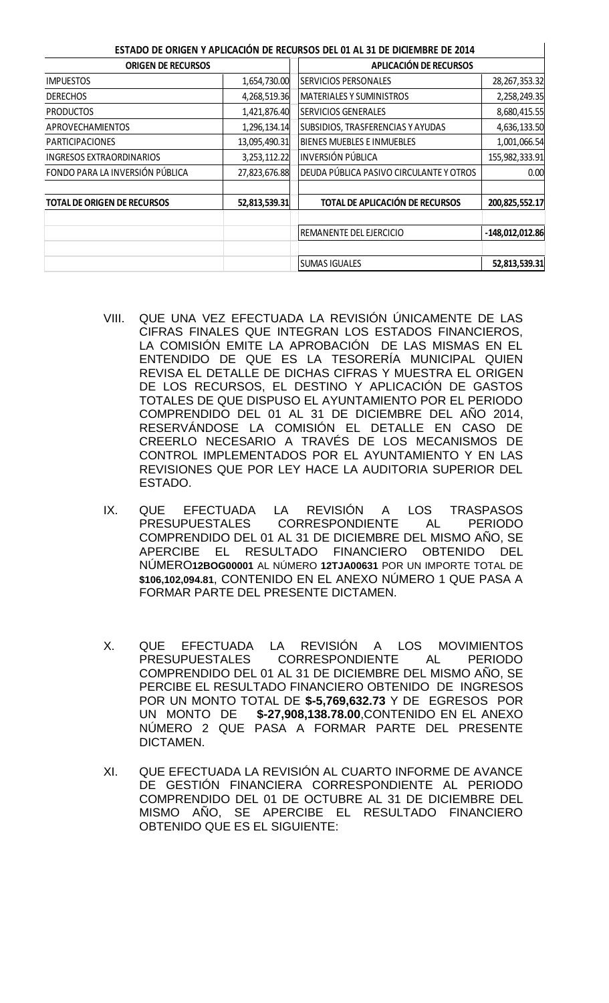|                                    |               | ESTADO DE ORIGEN Y APLICACIÓN DE RECURSOS DEL 01 AL 31 DE DICIEMBRE DE 2014 |                   |
|------------------------------------|---------------|-----------------------------------------------------------------------------|-------------------|
| <b>ORIGEN DE RECURSOS</b>          |               | <b>APLICACIÓN DE RECURSOS</b>                                               |                   |
| <b>IMPUESTOS</b>                   | 1,654,730.00  | <b>SERVICIOS PERSONALES</b>                                                 | 28, 267, 353. 32  |
| <b>DERECHOS</b>                    | 4,268,519.36  | <b>MATERIALES Y SUMINISTROS</b>                                             | 2,258,249.35      |
| <b>PRODUCTOS</b>                   | 1,421,876.40  | <b>SERVICIOS GENERALES</b>                                                  | 8,680,415.55      |
| APROVECHAMIENTOS                   | 1,296,134.14  | SUBSIDIOS, TRASFERENCIAS Y AYUDAS                                           | 4,636,133.50      |
| <b>PARTICIPACIONES</b>             | 13,095,490.31 | BIENES MUEBLES E INMUEBLES                                                  | 1,001,066.54      |
| INGRESOS EXTRAORDINARIOS           | 3,253,112.22  | <b>INVERSIÓN PÚBLICA</b>                                                    | 155,982,333.91    |
| FONDO PARA LA INVERSIÓN PÚBLICA    | 27,823,676.88 | DEUDA PÚBLICA PASIVO CIRCULANTE Y OTROS                                     | 0.00              |
| <b>TOTAL DE ORIGEN DE RECURSOS</b> | 52,813,539.31 | TOTAL DE APLICACIÓN DE RECURSOS                                             | 200,825,552.17    |
|                                    |               | REMANENTE DEL EJERCICIO                                                     | $-148,012,012.86$ |
|                                    |               | <b>SUMAS IGUALES</b>                                                        | 52,813,539.31     |

- VIII. QUE UNA VEZ EFECTUADA LA REVISIÓN ÚNICAMENTE DE LAS CIFRAS FINALES QUE INTEGRAN LOS ESTADOS FINANCIEROS, LA COMISIÓN EMITE LA APROBACIÓN DE LAS MISMAS EN EL ENTENDIDO DE QUE ES LA TESORERÍA MUNICIPAL QUIEN REVISA EL DETALLE DE DICHAS CIFRAS Y MUESTRA EL ORIGEN DE LOS RECURSOS, EL DESTINO Y APLICACIÓN DE GASTOS TOTALES DE QUE DISPUSO EL AYUNTAMIENTO POR EL PERIODO COMPRENDIDO DEL 01 AL 31 DE DICIEMBRE DEL AÑO 2014, RESERVÁNDOSE LA COMISIÓN EL DETALLE EN CASO DE CREERLO NECESARIO A TRAVÉS DE LOS MECANISMOS DE CONTROL IMPLEMENTADOS POR EL AYUNTAMIENTO Y EN LAS REVISIONES QUE POR LEY HACE LA AUDITORIA SUPERIOR DEL ESTADO.
- IX. QUE EFECTUADA LA REVISIÓN A LOS TRASPASOS PRESUPUESTALES CORRESPONDIENTE AL PERIODO COMPRENDIDO DEL 01 AL 31 DE DICIEMBRE DEL MISMO AÑO, SE APERCIBE EL RESULTADO FINANCIERO OBTENIDO DEL NÚMERO**12BOG00001** AL NÚMERO **12TJA00631** POR UN IMPORTE TOTAL DE **\$106,102,094.81**, CONTENIDO EN EL ANEXO NÚMERO 1 QUE PASA A FORMAR PARTE DEL PRESENTE DICTAMEN.
- X. QUE EFECTUADA LA REVISIÓN A LOS MOVIMIENTOS CORRESPONDIENTE AL PERIODO COMPRENDIDO DEL 01 AL 31 DE DICIEMBRE DEL MISMO AÑO, SE PERCIBE EL RESULTADO FINANCIERO OBTENIDO DE INGRESOS POR UN MONTO TOTAL DE **\$-5,769,632.73** Y DE EGRESOS POR \$-27,908,138.78.00, CONTENIDO EN EL ANEXO NÚMERO 2 QUE PASA A FORMAR PARTE DEL PRESENTE DICTAMEN.
- XI. QUE EFECTUADA LA REVISIÓN AL CUARTO INFORME DE AVANCE DE GESTIÓN FINANCIERA CORRESPONDIENTE AL PERIODO COMPRENDIDO DEL 01 DE OCTUBRE AL 31 DE DICIEMBRE DEL MISMO AÑO, SE APERCIBE EL RESULTADO FINANCIERO OBTENIDO QUE ES EL SIGUIENTE: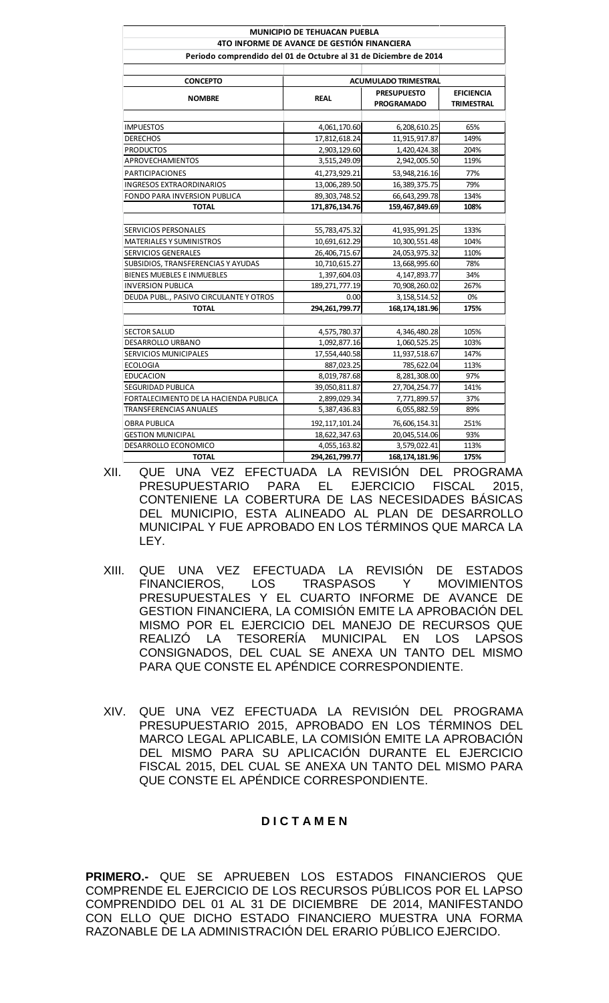|                                                                  | <b>MUNICIPIO DE TEHUACAN PUEBLA</b> |                             |                   |
|------------------------------------------------------------------|-------------------------------------|-----------------------------|-------------------|
| 4TO INFORME DE AVANCE DE GESTIÓN FINANCIERA                      |                                     |                             |                   |
| Periodo comprendido del 01 de Octubre al 31 de Diciembre de 2014 |                                     |                             |                   |
| <b>CONCEPTO</b>                                                  |                                     | <b>ACUMULADO TRIMESTRAL</b> |                   |
|                                                                  |                                     | <b>PRESUPUESTO</b>          | <b>EFICIENCIA</b> |
| <b>NOMBRE</b>                                                    | <b>REAL</b>                         | <b>PROGRAMADO</b>           | <b>TRIMESTRAL</b> |
| <b>IMPUESTOS</b>                                                 | 4,061,170.60                        | 6,208,610.25                | 65%               |
| <b>DERECHOS</b>                                                  | 17,812,618.24                       | 11,915,917.87               | 149%              |
| <b>PRODUCTOS</b>                                                 | 2,903,129.60                        | 1,420,424.38                | 204%              |
| <b>APROVECHAMIENTOS</b>                                          | 3,515,249.09                        | 2,942,005.50                | 119%              |
| <b>PARTICIPACIONES</b>                                           | 41,273,929.21                       | 53,948,216.16               | 77%               |
| <b>INGRESOS EXTRAORDINARIOS</b>                                  | 13,006,289.50                       | 16,389,375.75               | 79%               |
| FONDO PARA INVERSION PUBLICA                                     | 89,303,748.52                       | 66,643,299.78               | 134%              |
| <b>TOTAL</b>                                                     | 171,876,134.76                      | 159,467,849.69              | 108%              |
|                                                                  |                                     |                             |                   |
| SERVICIOS PERSONALES                                             | 55,783,475.32                       | 41,935,991.25               | 133%              |
| <b>MATERIALES Y SUMINISTROS</b>                                  | 10,691,612.29                       | 10,300,551.48               | 104%              |
| <b>SERVICIOS GENERALES</b>                                       | 26,406,715.67                       | 24,053,975.32               | 110%              |
| SUBSIDIOS, TRANSFERENCIAS Y AYUDAS                               | 10,710,615.27                       | 13,668,995.60               | 78%               |
| BIENES MUEBLES E INMUEBLES                                       | 1,397,604.03                        | 4,147,893.77                | 34%               |
| <b>INVERSION PUBLICA</b>                                         | 189, 271, 777. 19                   | 70,908,260.02               | 267%              |
| DEUDA PUBL., PASIVO CIRCULANTE Y OTROS                           | 0.00                                | 3,158,514.52                | 0%                |
| <b>TOTAL</b>                                                     | 294,261,799.77                      | 168, 174, 181. 96           | 175%              |
| <b>SECTOR SALUD</b>                                              | 4,575,780.37                        | 4,346,480.28                | 105%              |
| DESARROLLO URBANO                                                | 1,092,877.16                        | 1,060,525.25                | 103%              |
| SERVICIOS MUNICIPALES                                            | 17,554,440.58                       | 11,937,518.67               | 147%              |
| <b>ECOLOGIA</b>                                                  | 887,023.25                          | 785,622.04                  | 113%              |
| <b>EDUCACION</b>                                                 | 8,019,787.68                        | 8,281,308.00                | 97%               |
| SEGURIDAD PUBLICA                                                | 39,050,811.87                       | 27,704,254.77               | 141%              |
| FORTALECIMIENTO DE LA HACIENDA PUBLICA                           | 2,899,029.34                        | 7,771,899.57                | 37%               |
| <b>TRANSFERENCIAS ANUALES</b>                                    | 5,387,436.83                        | 6,055,882.59                | 89%               |
| <b>OBRA PUBLICA</b>                                              | 192, 117, 101.24                    | 76,606,154.31               | 251%              |
| <b>GESTION MUNICIPAL</b>                                         | 18,622,347.63                       | 20,045,514.06               | 93%               |
| DESARROLLO ECONOMICO                                             | 4,055,163.82                        | 3,579,022.41                | 113%              |
| <b>TOTAL</b>                                                     | 294, 261, 799. 77                   | 168,174,181.96              | 175%              |

- XII. QUE UNA VEZ EFECTUADA LA REVISIÓN DEL PROGRAMA PRESUPUESTARIO PARA EL EJERCICIO FISCAL 2015, CONTENIENE LA COBERTURA DE LAS NECESIDADES BÁSICAS DEL MUNICIPIO, ESTA ALINEADO AL PLAN DE DESARROLLO MUNICIPAL Y FUE APROBADO EN LOS TÉRMINOS QUE MARCA LA LEY.
- XIII. QUE UNA VEZ EFECTUADA LA REVISIÓN DE ESTADOS FINANCIEROS, LOS TRASPASOS Y MOVIMIENTOS PRESUPUESTALES Y EL CUARTO INFORME DE AVANCE DE GESTION FINANCIERA, LA COMISIÓN EMITE LA APROBACIÓN DEL MISMO POR EL EJERCICIO DEL MANEJO DE RECURSOS QUE REALIZÓ LA TESORERÍA MUNICIPAL EN LOS LAPSOS CONSIGNADOS, DEL CUAL SE ANEXA UN TANTO DEL MISMO PARA QUE CONSTE EL APÉNDICE CORRESPONDIENTE.
- XIV. QUE UNA VEZ EFECTUADA LA REVISIÓN DEL PROGRAMA PRESUPUESTARIO 2015, APROBADO EN LOS TÉRMINOS DEL MARCO LEGAL APLICABLE, LA COMISIÓN EMITE LA APROBACIÓN DEL MISMO PARA SU APLICACIÓN DURANTE EL EJERCICIO FISCAL 2015, DEL CUAL SE ANEXA UN TANTO DEL MISMO PARA QUE CONSTE EL APÉNDICE CORRESPONDIENTE.

#### **D I C T A M E N**

**PRIMERO.-** QUE SE APRUEBEN LOS ESTADOS FINANCIEROS QUE COMPRENDE EL EJERCICIO DE LOS RECURSOS PÚBLICOS POR EL LAPSO COMPRENDIDO DEL 01 AL 31 DE DICIEMBRE DE 2014, MANIFESTANDO CON ELLO QUE DICHO ESTADO FINANCIERO MUESTRA UNA FORMA RAZONABLE DE LA ADMINISTRACIÓN DEL ERARIO PÚBLICO EJERCIDO.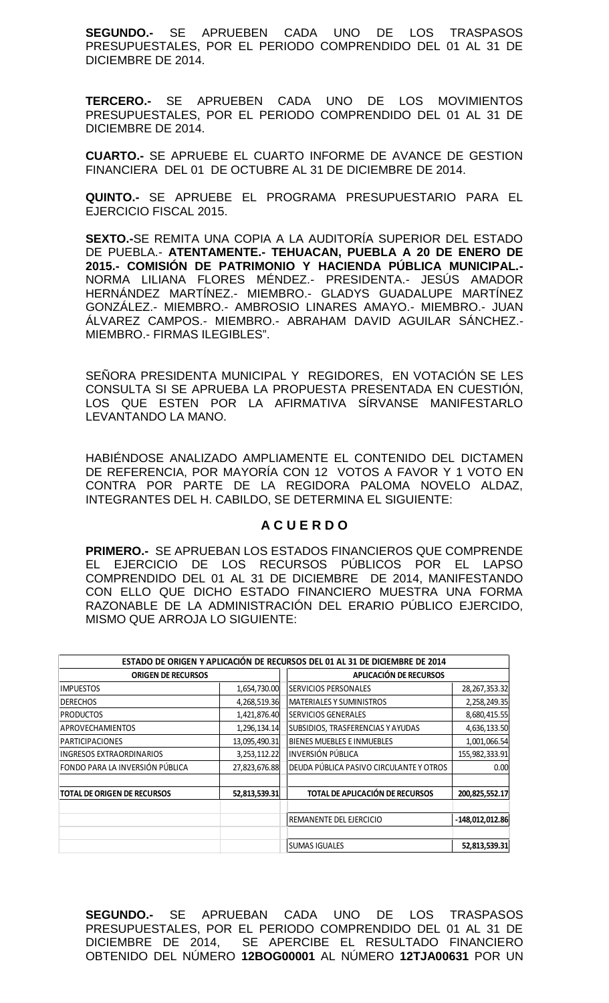**SEGUNDO.-** SE APRUEBEN CADA UNO DE LOS TRASPASOS PRESUPUESTALES, POR EL PERIODO COMPRENDIDO DEL 01 AL 31 DE DICIEMBRE DE 2014.

**TERCERO.-** SE APRUEBEN CADA UNO DE LOS MOVIMIENTOS PRESUPUESTALES, POR EL PERIODO COMPRENDIDO DEL 01 AL 31 DE DICIEMBRE DE 2014.

**CUARTO.-** SE APRUEBE EL CUARTO INFORME DE AVANCE DE GESTION FINANCIERA DEL 01 DE OCTUBRE AL 31 DE DICIEMBRE DE 2014.

**QUINTO.-** SE APRUEBE EL PROGRAMA PRESUPUESTARIO PARA EL EJERCICIO FISCAL 2015.

**SEXTO.-**SE REMITA UNA COPIA A LA AUDITORÍA SUPERIOR DEL ESTADO DE PUEBLA.- **ATENTAMENTE.- TEHUACAN, PUEBLA A 20 DE ENERO DE 2015.- COMISIÓN DE PATRIMONIO Y HACIENDA PÚBLICA MUNICIPAL.-** NORMA LILIANA FLORES MÉNDEZ.- PRESIDENTA.- JESÚS AMADOR HERNÁNDEZ MARTÍNEZ.- MIEMBRO.- GLADYS GUADALUPE MARTÍNEZ GONZÁLEZ.- MIEMBRO.- AMBROSIO LINARES AMAYO.- MIEMBRO.- JUAN ÁLVAREZ CAMPOS.- MIEMBRO.- ABRAHAM DAVID AGUILAR SÁNCHEZ.- MIEMBRO.- FIRMAS ILEGIBLES".

SEÑORA PRESIDENTA MUNICIPAL Y REGIDORES, EN VOTACIÓN SE LES CONSULTA SI SE APRUEBA LA PROPUESTA PRESENTADA EN CUESTIÓN, LOS QUE ESTEN POR LA AFIRMATIVA SÍRVANSE MANIFESTARLO LEVANTANDO LA MANO.

HABIÉNDOSE ANALIZADO AMPLIAMENTE EL CONTENIDO DEL DICTAMEN DE REFERENCIA, POR MAYORÍA CON 12 VOTOS A FAVOR Y 1 VOTO EN CONTRA POR PARTE DE LA REGIDORA PALOMA NOVELO ALDAZ, INTEGRANTES DEL H. CABILDO, SE DETERMINA EL SIGUIENTE:

## **A C U E R D O**

**PRIMERO.-** SE APRUEBAN LOS ESTADOS FINANCIEROS QUE COMPRENDE EL EJERCICIO DE LOS RECURSOS PÚBLICOS POR EL LAPSO COMPRENDIDO DEL 01 AL 31 DE DICIEMBRE DE 2014, MANIFESTANDO CON ELLO QUE DICHO ESTADO FINANCIERO MUESTRA UNA FORMA RAZONABLE DE LA ADMINISTRACIÓN DEL ERARIO PÚBLICO EJERCIDO, MISMO QUE ARROJA LO SIGUIENTE:

|                                    |               | ESTADO DE ORIGEN Y APLICACIÓN DE RECURSOS DEL 01 AL 31 DE DICIEMBRE DE 2014 |                   |
|------------------------------------|---------------|-----------------------------------------------------------------------------|-------------------|
| <b>ORIGEN DE RECURSOS</b>          |               | APLICACIÓN DE RECURSOS                                                      |                   |
| <b>IMPUESTOS</b>                   | 1,654,730.00  | SERVICIOS PERSONALES                                                        | 28, 267, 353. 32  |
| <b>DERECHOS</b>                    | 4,268,519.36  | <b>MATERIALES Y SUMINISTROS</b>                                             | 2,258,249.35      |
| <b>PRODUCTOS</b>                   | 1,421,876.40  | <b>SERVICIOS GENERALES</b>                                                  | 8,680,415.55      |
| APROVECHAMIENTOS                   | 1,296,134.14  | SUBSIDIOS, TRASFERENCIAS Y AYUDAS                                           | 4,636,133.50      |
| <b>PARTICIPACIONES</b>             | 13,095,490.31 | BIENES MUEBLES E INMUEBLES                                                  | 1,001,066.54      |
| <b>INGRESOS EXTRAORDINARIOS</b>    | 3,253,112.22  | INVERSIÓN PÚBLICA                                                           | 155,982,333.91    |
| FONDO PARA LA INVERSIÓN PÚBLICA    | 27,823,676.88 | DEUDA PÚBLICA PASIVO CIRCULANTE Y OTROS                                     | 0.00              |
| <b>TOTAL DE ORIGEN DE RECURSOS</b> | 52,813,539.31 | <b>TOTAL DE APLICACIÓN DE RECURSOS</b>                                      | 200,825,552.17    |
|                                    |               | REMANENTE DEL EJERCICIO                                                     | $-148,012,012.86$ |
|                                    |               | <b>SUMAS IGUALES</b>                                                        | 52,813,539.31     |

**SEGUNDO.-** SE APRUEBAN CADA UNO DE LOS TRASPASOS PRESUPUESTALES, POR EL PERIODO COMPRENDIDO DEL 01 AL 31 DE DICIEMBRE DE 2014, SE APERCIBE EL RESULTADO FINANCIERO OBTENIDO DEL NÚMERO **12BOG00001** AL NÚMERO **12TJA00631** POR UN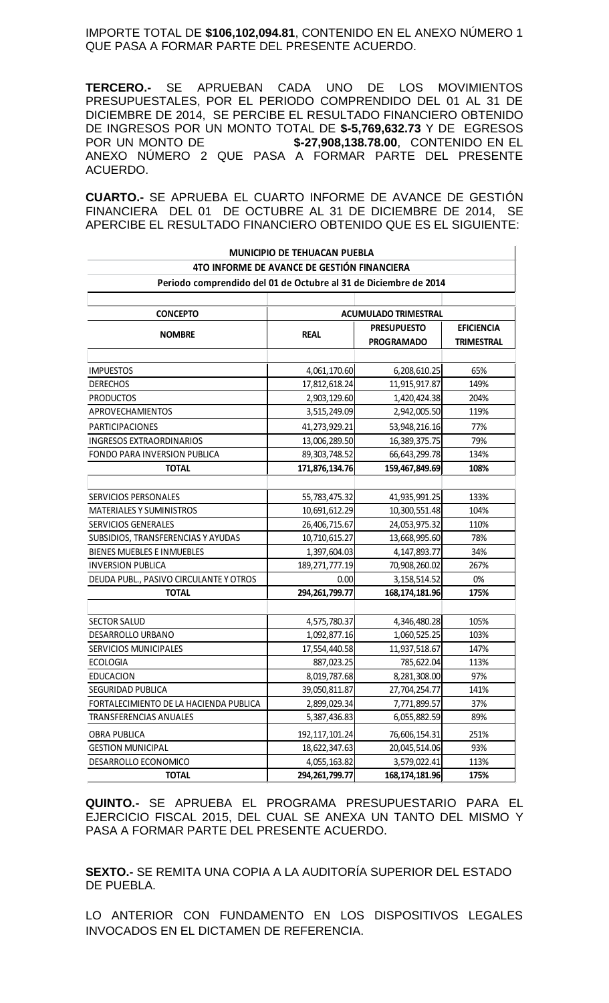IMPORTE TOTAL DE **\$106,102,094.81**, CONTENIDO EN EL ANEXO NÚMERO 1 QUE PASA A FORMAR PARTE DEL PRESENTE ACUERDO.

**TERCERO.-** SE APRUEBAN CADA UNO DE LOS MOVIMIENTOS PRESUPUESTALES, POR EL PERIODO COMPRENDIDO DEL 01 AL 31 DE DICIEMBRE DE 2014, SE PERCIBE EL RESULTADO FINANCIERO OBTENIDO DE INGRESOS POR UN MONTO TOTAL DE **\$-5,769,632.73** Y DE EGRESOS POR UN MONTO DE **\$-27,908,138.78.00**, CONTENIDO EN EL ANEXO NÚMERO 2 QUE PASA A FORMAR PARTE DEL PRESENTE ACUERDO.

**CUARTO.-** SE APRUEBA EL CUARTO INFORME DE AVANCE DE GESTIÓN FINANCIERA DEL 01 DE OCTUBRE AL 31 DE DICIEMBRE DE 2014, SE APERCIBE EL RESULTADO FINANCIERO OBTENIDO QUE ES EL SIGUIENTE:

|                                                                  | <b>MUNICIPIO DE TEHUACAN PUEBLA</b> |                                         |                                        |
|------------------------------------------------------------------|-------------------------------------|-----------------------------------------|----------------------------------------|
| 4TO INFORME DE AVANCE DE GESTIÓN FINANCIERA                      |                                     |                                         |                                        |
| Periodo comprendido del 01 de Octubre al 31 de Diciembre de 2014 |                                     |                                         |                                        |
| <b>CONCEPTO</b>                                                  |                                     | <b>ACUMULADO TRIMESTRAL</b>             |                                        |
| <b>NOMBRE</b>                                                    | <b>REAL</b>                         | <b>PRESUPUESTO</b><br><b>PROGRAMADO</b> | <b>EFICIENCIA</b><br><b>TRIMESTRAL</b> |
| <b>IMPUESTOS</b>                                                 | 4,061,170.60                        | 6,208,610.25                            | 65%                                    |
| <b>DERECHOS</b>                                                  | 17,812,618.24                       | 11,915,917.87                           | 149%                                   |
| <b>PRODUCTOS</b>                                                 | 2,903,129.60                        | 1,420,424.38                            | 204%                                   |
| APROVECHAMIENTOS                                                 | 3,515,249.09                        | 2,942,005.50                            | 119%                                   |
| <b>PARTICIPACIONES</b>                                           | 41,273,929.21                       | 53,948,216.16                           | 77%                                    |
| <b>INGRESOS EXTRAORDINARIOS</b>                                  | 13,006,289.50                       | 16,389,375.75                           | 79%                                    |
| FONDO PARA INVERSION PUBLICA                                     | 89, 303, 748.52                     | 66,643,299.78                           | 134%                                   |
| <b>TOTAL</b>                                                     | 171,876,134.76                      | 159,467,849.69                          | 108%                                   |
|                                                                  |                                     |                                         |                                        |
| <b>SERVICIOS PERSONALES</b>                                      | 55,783,475.32                       | 41,935,991.25                           | 133%                                   |
| <b>MATERIALES Y SUMINISTROS</b>                                  | 10,691,612.29                       | 10,300,551.48                           | 104%                                   |
| <b>SERVICIOS GENERALES</b>                                       | 26,406,715.67                       | 24,053,975.32                           | 110%                                   |
| SUBSIDIOS, TRANSFERENCIAS Y AYUDAS                               | 10,710,615.27                       | 13,668,995.60                           | 78%                                    |
| BIENES MUEBLES E INMUEBLES                                       | 1,397,604.03                        | 4,147,893.77                            | 34%                                    |
| <b>INVERSION PUBLICA</b>                                         | 189, 271, 777. 19                   | 70,908,260.02                           | 267%                                   |
| DEUDA PUBL., PASIVO CIRCULANTE Y OTROS                           | 0.00                                | 3, 158, 514. 52                         | 0%                                     |
| <b>TOTAL</b>                                                     | 294, 261, 799. 77                   | 168, 174, 181. 96                       | 175%                                   |
| <b>SECTOR SALUD</b>                                              | 4,575,780.37                        | 4,346,480.28                            | 105%                                   |
| DESARROLLO URBANO                                                | 1,092,877.16                        | 1,060,525.25                            | 103%                                   |
| SERVICIOS MUNICIPALES                                            | 17,554,440.58                       | 11,937,518.67                           | 147%                                   |
| <b>ECOLOGIA</b>                                                  | 887,023.25                          | 785,622.04                              | 113%                                   |
| <b>EDUCACION</b>                                                 | 8,019,787.68                        | 8,281,308.00                            | 97%                                    |
| SEGURIDAD PUBLICA                                                | 39,050,811.87                       | 27,704,254.77                           | 141%                                   |
| FORTALECIMIENTO DE LA HACIENDA PUBLICA                           | 2,899,029.34                        | 7,771,899.57                            | 37%                                    |
| TRANSFERENCIAS ANUALES                                           | 5,387,436.83                        | 6,055,882.59                            | 89%                                    |
| <b>OBRA PUBLICA</b>                                              | 192, 117, 101.24                    | 76,606,154.31                           | 251%                                   |
| <b>GESTION MUNICIPAL</b>                                         | 18,622,347.63                       | 20,045,514.06                           | 93%                                    |
| DESARROLLO ECONOMICO                                             | 4,055,163.82                        | 3,579,022.41                            | 113%                                   |
| <b>TOTAL</b>                                                     | 294, 261, 799. 77                   | 168, 174, 181. 96                       | 175%                                   |

**QUINTO.-** SE APRUEBA EL PROGRAMA PRESUPUESTARIO PARA EL EJERCICIO FISCAL 2015, DEL CUAL SE ANEXA UN TANTO DEL MISMO Y PASA A FORMAR PARTE DEL PRESENTE ACUERDO.

**SEXTO.-** SE REMITA UNA COPIA A LA AUDITORÍA SUPERIOR DEL ESTADO DE PUEBLA.

LO ANTERIOR CON FUNDAMENTO EN LOS DISPOSITIVOS LEGALES INVOCADOS EN EL DICTAMEN DE REFERENCIA.